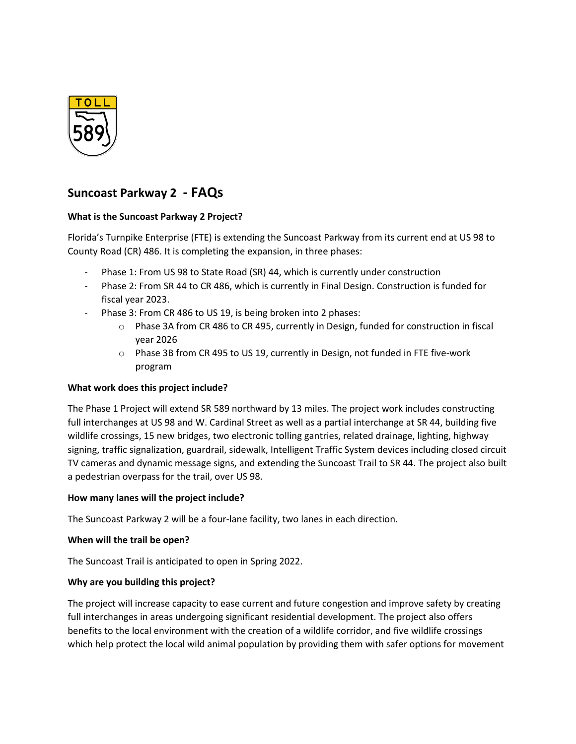

# **Suncoast Parkway 2 - FAQs**

# **What is the Suncoast Parkway 2 Project?**

Florida's Turnpike Enterprise (FTE) is extending the Suncoast Parkway from its current end at US 98 to County Road (CR) 486. It is completing the expansion, in three phases:

- Phase 1: From US 98 to State Road (SR) 44, which is currently under construction
- Phase 2: From SR 44 to CR 486, which is currently in Final Design. Construction is funded for fiscal year 2023.
- Phase 3: From CR 486 to US 19, is being broken into 2 phases:
	- o Phase 3A from CR 486 to CR 495, currently in Design, funded for construction in fiscal year 2026
	- o Phase 3B from CR 495 to US 19, currently in Design, not funded in FTE five-work program

# **What work does this project include?**

The Phase 1 Project will extend SR 589 northward by 13 miles. The project work includes constructing full interchanges at US 98 and W. Cardinal Street as well as a partial interchange at SR 44, building five wildlife crossings, 15 new bridges, two electronic tolling gantries, related drainage, lighting, highway signing, traffic signalization, guardrail, sidewalk, Intelligent Traffic System devices including closed circuit TV cameras and dynamic message signs, and extending the Suncoast Trail to SR 44. The project also built a pedestrian overpass for the trail, over US 98.

# **How many lanes will the project include?**

The Suncoast Parkway 2 will be a four-lane facility, two lanes in each direction.

# **When will the trail be open?**

The Suncoast Trail is anticipated to open in Spring 2022.

# **Why are you building this project?**

The project will increase capacity to ease current and future congestion and improve safety by creating full interchanges in areas undergoing significant residential development. The project also offers benefits to the local environment with the creation of a wildlife corridor, and five wildlife crossings which help protect the local wild animal population by providing them with safer options for movement